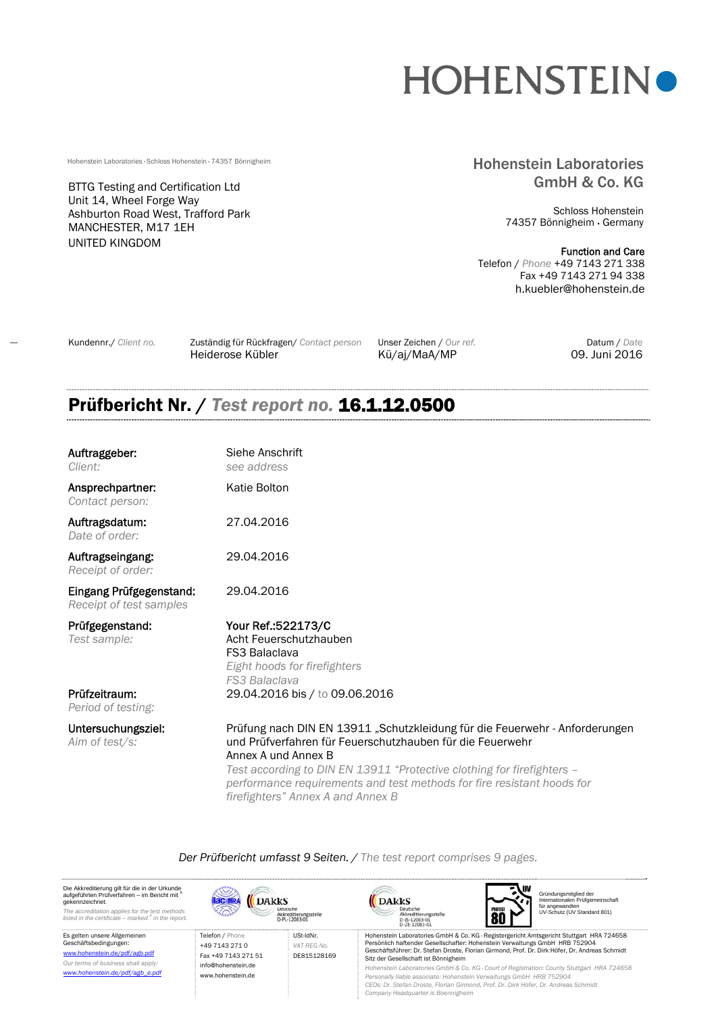# **HOHENSTEINO**

BTTG Testing and Certification Ltd Unit 14, Wheel Forge Way Ashburton Road West, Trafford Park MANCHESTER, M17 1EH UNITED KINGDOM

# Hohenstein Laboratories · Schloss Hohenstein · 74357 Bönnigheim **Hohenstein Hohenstein Laboratories** GmbH & Co. KG

Schloss Hohenstein 74357 Bönnigheim Germany

Function and Care Telefon / *Phone* +49 7143 271 338 Fax +49 7143 271 94 338 h.kuebler@hohenstein.de

Kundennr./ *Client no.* Zuständig für Rückfragen/ *Contact person* Unser Zeichen / *Our ref.* Datum / *Date* Heiderose Kübler Kü/aj/MaA/MP 09. Juni 2016

# Prüfbericht Nr. / *Test report no.* 16.1.12.0500

| Auftraggeber:<br><i>Client:</i>                    | Siehe Anschrift<br>see address                                                                                                                                                                                                                                                                                                                           |
|----------------------------------------------------|----------------------------------------------------------------------------------------------------------------------------------------------------------------------------------------------------------------------------------------------------------------------------------------------------------------------------------------------------------|
| Ansprechpartner:<br>Contact person:                | Katie Bolton                                                                                                                                                                                                                                                                                                                                             |
| Auftragsdatum:<br>Date of order:                   | 27.04.2016                                                                                                                                                                                                                                                                                                                                               |
| Auftragseingang:<br>Receipt of order:              | 29.04.2016                                                                                                                                                                                                                                                                                                                                               |
| Eingang Prüfgegenstand:<br>Receipt of test samples | 29.04.2016                                                                                                                                                                                                                                                                                                                                               |
| Prüfgegenstand:<br>Test sample:                    | Your Ref.: 522173/C<br>Acht Feuerschutzhauben<br><b>FS3 Balaclava</b><br>Eight hoods for firefighters<br><b>FS3 Balaclava</b>                                                                                                                                                                                                                            |
| Prüfzeitraum:<br>Period of testing:                | 29.04.2016 bis / to 09.06.2016                                                                                                                                                                                                                                                                                                                           |
| Untersuchungsziel:<br>Aim of test/s:               | Prüfung nach DIN EN 13911 "Schutzkleidung für die Feuerwehr - Anforderungen<br>und Prüfverfahren für Feuerschutzhauben für die Feuerwehr<br>Annex A und Annex B<br>Test according to DIN EN 13911 "Protective clothing for firefighters -<br>performance requirements and test methods for fire resistant hoods for<br>firefighters" Annex A and Annex B |

*Der Prüfbericht umfasst 9 Seiten. / The test report comprises 9 pages.* 

IN Die Akkreditierung gilt für die in der Urkunde<br>aufgeführten Prüfverfahren – im Bericht mit <sup>A</sup><br>gekennzeichnet. Gründungsmitglied der Internationalen Prüfgemeinschaft DAkkS DAKKS **Jac-MRA** für angewandten UV-Schutz (UV Standard 801) Deutsche<br>Akkreditierungsstelle<br>D-IS-12083-01<br>D-ZE-12083-01 *The accreditation applies for the test methods listed in the certificate – marked A in the report.* Akkreditierungsstelle<br>D-PI-12083-01 80 Telefon / Phone USt-IdNr. Es gelten unsere Allgemeinen Geschäftsbedingungen: Hohenstein Laboratories GmbH & Co. KG · Registergericht Amtsgericht Stuttgart HRA 724658 Persönlich haftender Gesellschafter: Hohenstein Verwaltungs GmbH HRB 752904 +49 7143 271 0 *VAT REG No.*  Geschäftsführer: Dr. Stefan Droste, Florian Girmond, Prof. Dr. Dirk Höfer, Dr. Andreas Schmidt www.hohenstein.de/pdf/agb.pdf Fax +49 7143 271 51 DE815128169 Sitz der Gesellschaft ist Bönnigheim *Our terms of business shall apply:* info@hohenstein.de *Hohenstein Laboratories GmbH & Co. KG · Court of Registration: County Stuttgart HRA 724658 www.hohenstein.de/pdf/agb\_e.pdf* www.hohenstein.de *Personally liable associate: Hohenstein Verwaltungs GmbH HRB 752904 CEOs: Dr. Stefan Droste, Florian Girmond, Prof. Dr. Dirk Höfer, Dr. Andreas Schmidt Company Headquarter is Boennigheim*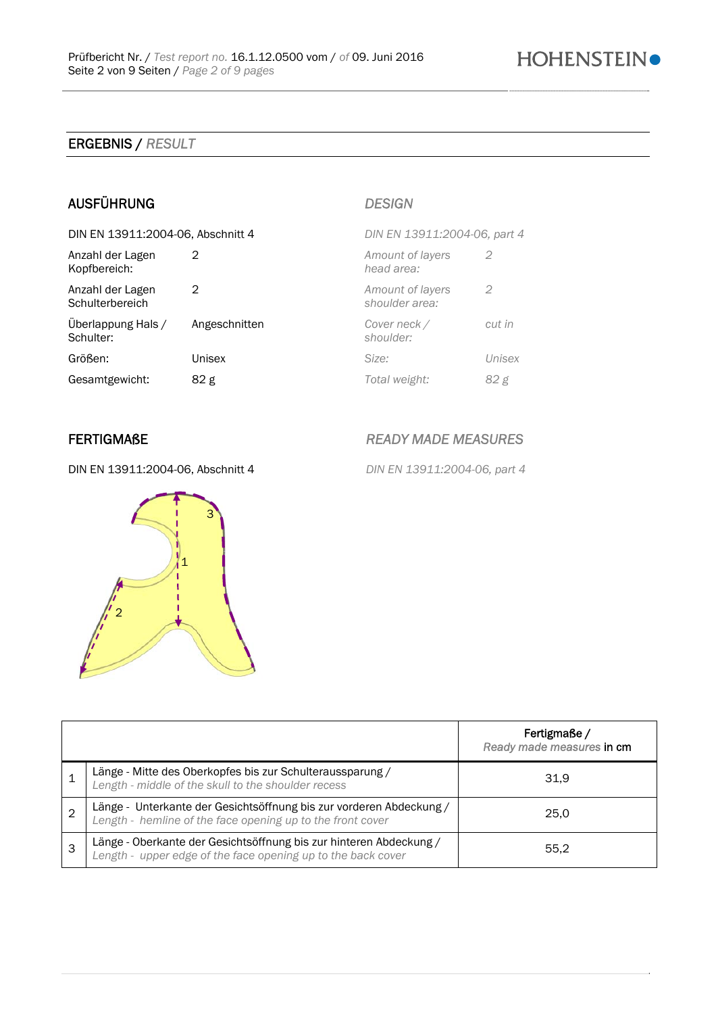# ERGEBNIS / *RESULT*

# AUSFÜHRUNG *DESIGN*

| DIN EN 13911:2004-06, Abschnitt 4   |               | DIN EN 13911:2004-06, part 4       |        |
|-------------------------------------|---------------|------------------------------------|--------|
| Anzahl der Lagen<br>Kopfbereich:    | 2             | Amount of layers<br>head area:     | 2      |
| Anzahl der Lagen<br>Schulterbereich | 2             | Amount of layers<br>shoulder area: | 2      |
| Überlappung Hals /<br>Schulter:     | Angeschnitten | Cover neck /<br>shoulder:          | cut in |
| Größen:                             | Unisex        | Size:                              | Unisex |
| Gesamtgewicht:                      | 82 g          | Total weight:                      | 82 g   |

DIN EN 13911:2004-06, Abschnitt 4 *DIN EN 13911:2004-06, part 4* 



FERTIGMAßE *READY MADE MEASURES* 

|   |                                                                                                                                    | Fertigmaße/<br>Ready made measures in cm |
|---|------------------------------------------------------------------------------------------------------------------------------------|------------------------------------------|
|   | Länge - Mitte des Oberkopfes bis zur Schulteraussparung /<br>Length - middle of the skull to the shoulder recess                   | 31,9                                     |
| 2 | Länge - Unterkante der Gesichtsöffnung bis zur vorderen Abdeckung /<br>Length - hemline of the face opening up to the front cover  | 25,0                                     |
| 3 | Länge - Oberkante der Gesichtsöffnung bis zur hinteren Abdeckung /<br>Length - upper edge of the face opening up to the back cover | 55.2                                     |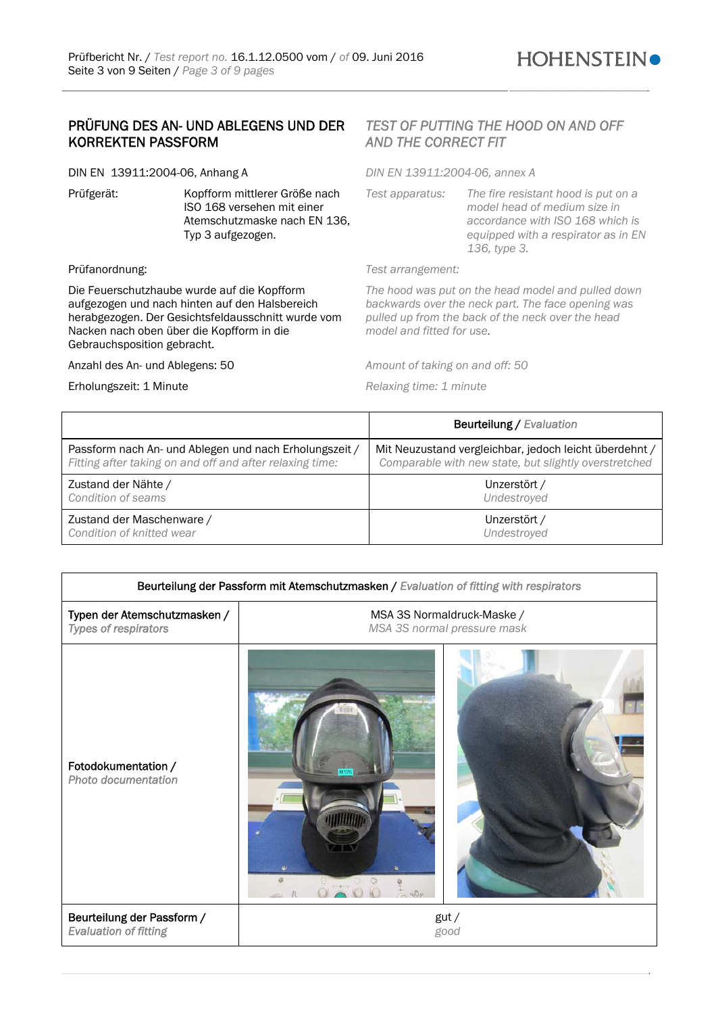# PRÜFUNG DES AN- UND ABLEGENS UND DER KORREKTEN PASSFORM

DIN EN 13911:2004-06, Anhang A *DIN EN 13911:2004-06, annex A* 

Prüfgerät: Kopfform mittlerer Größe nach ISO 168 versehen mit einer Atemschutzmaske nach EN 136, Typ 3 aufgezogen.

Die Feuerschutzhaube wurde auf die Kopfform aufgezogen und nach hinten auf den Halsbereich herabgezogen. Der Gesichtsfeldausschnitt wurde vom Nacken nach oben über die Kopfform in die Gebrauchsposition gebracht.

Anzahl des An- und Ablegens: 50 *Amount of taking on and off: 50* 

Erholungszeit: 1 Minute *Relaxing time: 1 minute* 

# *TEST OF PUTTING THE HOOD ON AND OFF AND THE CORRECT FIT*

*Test apparatus: The fire resistant hood is put on a model head of medium size in accordance with ISO 168 which is equipped with a respirator as in EN 136, type 3.* 

### Prüfanordnung: *Test arrangement:*

*The hood was put on the head model and pulled down backwards over the neck part. The face opening was pulled up from the back of the neck over the head model and fitted for use*.

|                                                          | <b>Beurteilung / Evaluation</b>                        |
|----------------------------------------------------------|--------------------------------------------------------|
| Passform nach An- und Ablegen und nach Erholungszeit /   | Mit Neuzustand vergleichbar, jedoch leicht überdehnt / |
| Fitting after taking on and off and after relaxing time: | Comparable with new state, but slightly overstretched  |
| Zustand der Nähte /                                      | Unzerstört /                                           |
| Condition of seams                                       | Undestroyed                                            |
| Zustand der Maschenware /                                | Unzerstört /                                           |
| Condition of knitted wear                                | Undestroved                                            |

| Beurteilung der Passform mit Atemschutzmasken / Evaluation of fitting with respirators |                             |  |
|----------------------------------------------------------------------------------------|-----------------------------|--|
| Typen der Atemschutzmasken /                                                           | MSA 3S Normaldruck-Maske /  |  |
| Types of respirators                                                                   | MSA 3S normal pressure mask |  |
| Fotodokumentation /<br>Photo documentation                                             |                             |  |
| Beurteilung der Passform /                                                             | gut/                        |  |
| <b>Evaluation of fitting</b>                                                           | good                        |  |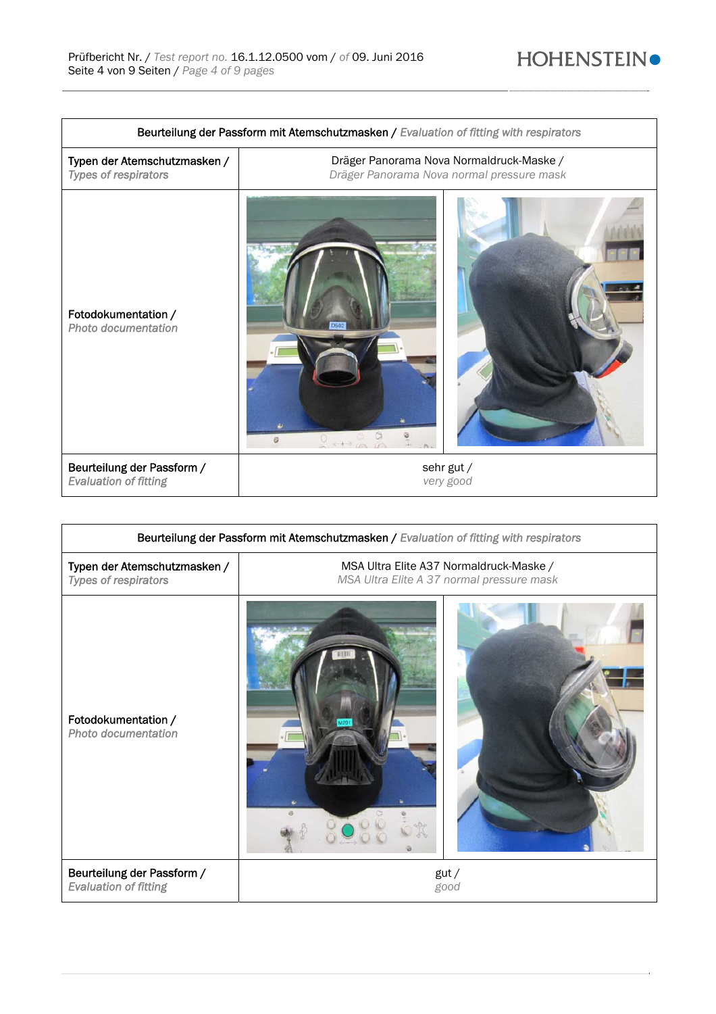| Beurteilung der Passform mit Atemschutzmasken / Evaluation of fitting with respirators |                                           |  |
|----------------------------------------------------------------------------------------|-------------------------------------------|--|
| Typen der Atemschutzmasken /                                                           | Dräger Panorama Nova Normaldruck-Maske /  |  |
| <b>Types of respirators</b>                                                            | Dräger Panorama Nova normal pressure mask |  |
| Fotodokumentation /<br><b>Photo documentation</b>                                      | Ø.                                        |  |
| Beurteilung der Passform /                                                             | sehr gut /                                |  |
| <b>Evaluation of fitting</b>                                                           | very good                                 |  |

| Beurteilung der Passform mit Atemschutzmasken / Evaluation of fitting with respirators |                                                                                      |              |
|----------------------------------------------------------------------------------------|--------------------------------------------------------------------------------------|--------------|
| Typen der Atemschutzmasken /<br>Types of respirators                                   | MSA Ultra Elite A37 Normaldruck-Maske /<br>MSA Ultra Elite A 37 normal pressure mask |              |
| Fotodokumentation /<br><b>Photo documentation</b>                                      |                                                                                      |              |
| Beurteilung der Passform /<br><b>Evaluation of fitting</b>                             |                                                                                      | gut/<br>good |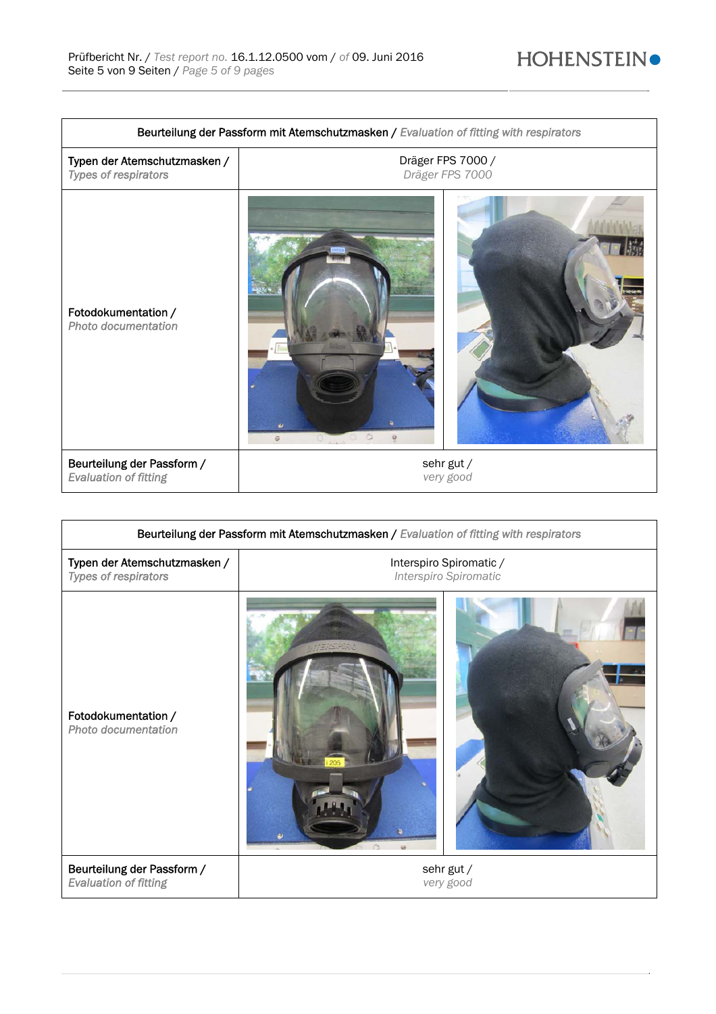| Beurteilung der Passform mit Atemschutzmasken / Evaluation of fitting with respirators |                                      |                         |
|----------------------------------------------------------------------------------------|--------------------------------------|-------------------------|
| Typen der Atemschutzmasken /<br><b>Types of respirators</b>                            | Dräger FPS 7000 /<br>Dräger FPS 7000 |                         |
| Fotodokumentation /<br>Photo documentation                                             | $\omega$<br>$\mathcal O$             |                         |
| Beurteilung der Passform /<br><b>Evaluation of fitting</b>                             |                                      | sehr gut /<br>very good |

| Beurteilung der Passform mit Atemschutzmasken / Evaluation of fitting with respirators |                                                  |  |
|----------------------------------------------------------------------------------------|--------------------------------------------------|--|
| Typen der Atemschutzmasken /<br><b>Types of respirators</b>                            | Interspiro Spiromatic /<br>Interspiro Spiromatic |  |
| Fotodokumentation /<br>Photo documentation                                             |                                                  |  |
| Beurteilung der Passform /<br><b>Evaluation of fitting</b>                             | sehr gut /<br>very good                          |  |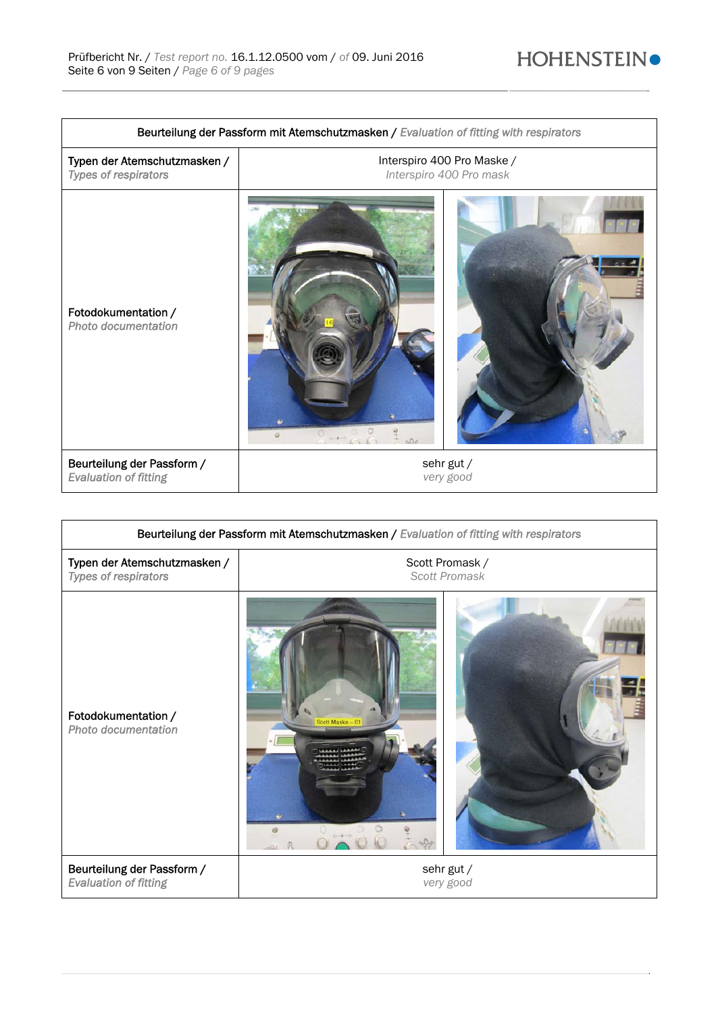| Beurteilung der Passform mit Atemschutzmasken / Evaluation of fitting with respirators |                            |  |
|----------------------------------------------------------------------------------------|----------------------------|--|
| Typen der Atemschutzmasken /                                                           | Interspiro 400 Pro Maske / |  |
| Types of respirators                                                                   | Interspiro 400 Pro mask    |  |
| Fotodokumentation /<br>Photo documentation                                             | $\ddot{\Theta}$            |  |
| Beurteilung der Passform /                                                             | sehr gut /                 |  |
| <b>Evaluation of fitting</b>                                                           | very good                  |  |

| Beurteilung der Passform mit Atemschutzmasken / Evaluation of fitting with respirators |                                                          |                         |
|----------------------------------------------------------------------------------------|----------------------------------------------------------|-------------------------|
| Typen der Atemschutzmasken /<br><b>Types of respirators</b>                            | Scott Promask /<br><b>Scott Promask</b>                  |                         |
| Fotodokumentation /<br>Photo documentation                                             | Scott Maske - 01<br>$\overline{\phantom{a}}$<br>$\Theta$ |                         |
| Beurteilung der Passform /<br><b>Evaluation of fitting</b>                             |                                                          | sehr gut /<br>very good |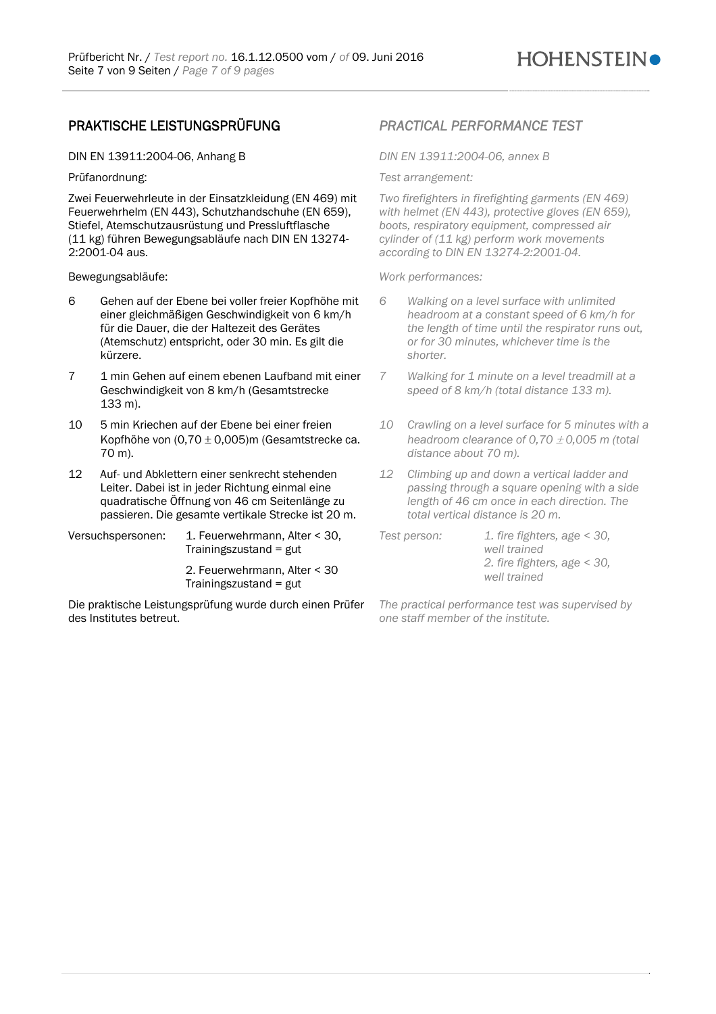# PRAKTISCHE LEISTUNGSPRÜFUNG *PRACTICAL PERFORMANCE TEST*

DIN EN 13911:2004-06, Anhang B *DIN EN 13911:2004-06, annex B* 

Zwei Feuerwehrleute in der Einsatzkleidung (EN 469) mit Feuerwehrhelm (EN 443), Schutzhandschuhe (EN 659), Stiefel, Atemschutzausrüstung und Pressluftflasche (11 kg) führen Bewegungsabläufe nach DIN EN 13274- 2:2001-04 aus.

- 6 Gehen auf der Ebene bei voller freier Kopfhöhe mit einer gleichmäßigen Geschwindigkeit von 6 km/h für die Dauer, die der Haltezeit des Gerätes (Atemschutz) entspricht, oder 30 min. Es gilt die kürzere.
- 7 1 min Gehen auf einem ebenen Laufband mit einer Geschwindigkeit von 8 km/h (Gesamtstrecke 133 m).
- 10 5 min Kriechen auf der Ebene bei einer freien Kopfhöhe von  $(0.70 \pm 0.005)$ m (Gesamtstrecke ca. 70 m).
- 12 Auf- und Abklettern einer senkrecht stehenden Leiter. Dabei ist in jeder Richtung einmal eine quadratische Öffnung von 46 cm Seitenlänge zu passieren. Die gesamte vertikale Strecke ist 20 m.
- Versuchspersonen: 1. Feuerwehrmann, Alter < 30, Trainingszustand = gut

2. Feuerwehrmann, Alter < 30 Trainingszustand = gut

Die praktische Leistungsprüfung wurde durch einen Prüfer des Institutes betreut.

Prüfanordnung: *Test arrangement:* 

*Two firefighters in firefighting garments (EN 469) with helmet (EN 443), protective gloves (EN 659), boots, respiratory equipment, compressed air cylinder of (11 kg) perform work movements according to DIN EN 13274-2:2001-04.* 

Bewegungsabläufe: *Work performances:* 

- *6 Walking on a level surface with unlimited headroom at a constant speed of 6 km/h for the length of time until the respirator runs out, or for 30 minutes, whichever time is the shorter.*
- *7 Walking for 1 minute on a level treadmill at a speed of 8 km/h (total distance 133 m).*
- *10 Crawling on a level surface for 5 minutes with a headroom clearance of 0,70*  $\pm$  *0,005 m (total distance about 70 m).*
- *12 Climbing up and down a vertical ladder and passing through a square opening with a side length of 46 cm once in each direction. The total vertical distance is 20 m.*
- *Test person: 1. fire fighters, age < 30, well trained 2. fire fighters, age < 30, well trained*

*The practical performance test was supervised by one staff member of the institute.*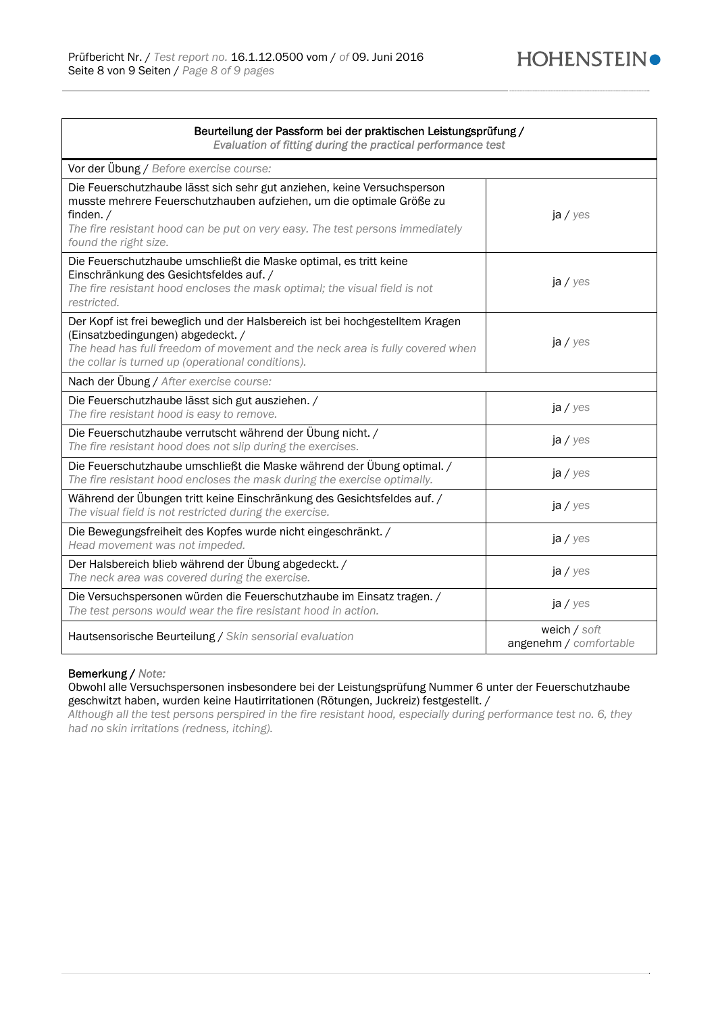| Beurteilung der Passform bei der praktischen Leistungsprüfung /<br>Evaluation of fitting during the practical performance test                                                                                                                                           |                                        |  |
|--------------------------------------------------------------------------------------------------------------------------------------------------------------------------------------------------------------------------------------------------------------------------|----------------------------------------|--|
| Vor der Übung / Before exercise course:                                                                                                                                                                                                                                  |                                        |  |
| Die Feuerschutzhaube lässt sich sehr gut anziehen, keine Versuchsperson<br>musste mehrere Feuerschutzhauben aufziehen, um die optimale Größe zu<br>finden. $/$<br>The fire resistant hood can be put on very easy. The test persons immediately<br>found the right size. | ja / yes                               |  |
| Die Feuerschutzhaube umschließt die Maske optimal, es tritt keine<br>Einschränkung des Gesichtsfeldes auf. /<br>The fire resistant hood encloses the mask optimal; the visual field is not<br>restricted.                                                                | ja / yes                               |  |
| Der Kopf ist frei beweglich und der Halsbereich ist bei hochgestelltem Kragen<br>(Einsatzbedingungen) abgedeckt. /<br>The head has full freedom of movement and the neck area is fully covered when<br>the collar is turned up (operational conditions).                 | $ja$ / $yes$                           |  |
| Nach der Übung / After exercise course:                                                                                                                                                                                                                                  |                                        |  |
| Die Feuerschutzhaube lässt sich gut ausziehen. /<br>The fire resistant hood is easy to remove.                                                                                                                                                                           | ja / yes                               |  |
| Die Feuerschutzhaube verrutscht während der Übung nicht. /<br>The fire resistant hood does not slip during the exercises.                                                                                                                                                | $ja$ / $yes$                           |  |
| Die Feuerschutzhaube umschließt die Maske während der Übung optimal. /<br>The fire resistant hood encloses the mask during the exercise optimally.                                                                                                                       | $ja$ / $yes$                           |  |
| Während der Übungen tritt keine Einschränkung des Gesichtsfeldes auf. /<br>The visual field is not restricted during the exercise.                                                                                                                                       | ja / yes                               |  |
| Die Bewegungsfreiheit des Kopfes wurde nicht eingeschränkt. /<br>Head movement was not impeded.                                                                                                                                                                          | ja / yes                               |  |
| Der Halsbereich blieb während der Übung abgedeckt. /<br>The neck area was covered during the exercise.                                                                                                                                                                   | $ja$ / $yes$                           |  |
| Die Versuchspersonen würden die Feuerschutzhaube im Einsatz tragen. /<br>The test persons would wear the fire resistant hood in action.                                                                                                                                  | ja / yes                               |  |
| Hautsensorische Beurteilung / Skin sensorial evaluation                                                                                                                                                                                                                  | weich / soft<br>angenehm / comfortable |  |

## Bemerkung / *Note:*

Obwohl alle Versuchspersonen insbesondere bei der Leistungsprüfung Nummer 6 unter der Feuerschutzhaube geschwitzt haben, wurden keine Hautirritationen (Rötungen, Juckreiz) festgestellt. /

*Although all the test persons perspired in the fire resistant hood, especially during performance test no. 6, they had no skin irritations (redness, itching).*